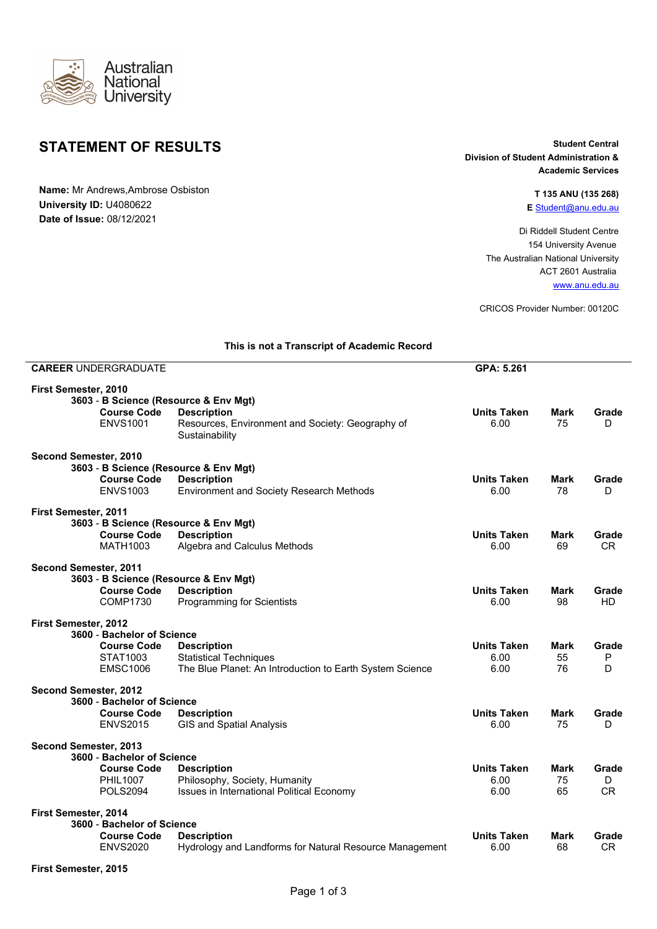

## **STATEMENT OF RESULTS** Student Central

**Name:** Mr Andrews,Ambrose Osbiston **University ID:** U4080622 **Date of Issue:** 08/12/2021

## **Division of Student Administration & Academic Services**

## **T 135 ANU (135 268) E** [Student@anu.edu.au](mailto:Student@anu.edu.au)

Di Riddell Student Centre 154 University Avenue The Australian National University ACT 2601 Australia [www.anu.edu.au](https://www.anu.edu.au/)

CRICOS Provider Number: 00120C

|                            | <b>CAREER UNDERGRADUATE</b> |                                                             | GPA: 5.261         |             |           |
|----------------------------|-----------------------------|-------------------------------------------------------------|--------------------|-------------|-----------|
| First Semester, 2010       |                             | 3603 - B Science (Resource & Env Mgt)                       |                    |             |           |
|                            | <b>Course Code</b>          | <b>Description</b>                                          | <b>Units Taken</b> | <b>Mark</b> | Grade     |
|                            | <b>ENVS1001</b>             | Resources, Environment and Society: Geography of            | 6.00               | 75          | D         |
|                            |                             | Sustainability                                              |                    |             |           |
| Second Semester, 2010      |                             |                                                             |                    |             |           |
|                            |                             | 3603 - B Science (Resource & Env Mgt)                       |                    |             |           |
|                            | <b>Course Code</b>          | <b>Description</b>                                          | <b>Units Taken</b> | <b>Mark</b> | Grade     |
|                            | <b>ENVS1003</b>             | Environment and Society Research Methods                    | 6.00               | 78          | D         |
| First Semester, 2011       |                             |                                                             |                    |             |           |
|                            | <b>Course Code</b>          | 3603 - B Science (Resource & Env Mgt)<br><b>Description</b> | <b>Units Taken</b> | Mark        | Grade     |
|                            | <b>MATH1003</b>             | Algebra and Calculus Methods                                | 6.00               | 69          | <b>CR</b> |
|                            |                             |                                                             |                    |             |           |
| Second Semester, 2011      |                             |                                                             |                    |             |           |
|                            | <b>Course Code</b>          | 3603 - B Science (Resource & Env Mgt)                       | Units Taken        | Mark        | Grade     |
|                            | <b>COMP1730</b>             | <b>Description</b><br><b>Programming for Scientists</b>     | 6.00               | 98          | <b>HD</b> |
|                            |                             |                                                             |                    |             |           |
| First Semester, 2012       |                             |                                                             |                    |             |           |
|                            | 3600 - Bachelor of Science  |                                                             |                    |             |           |
|                            | <b>Course Code</b>          | <b>Description</b>                                          | <b>Units Taken</b> | Mark        | Grade     |
|                            | STAT1003                    | <b>Statistical Techniques</b>                               | 6.00               | 55          | P         |
|                            | <b>EMSC1006</b>             | The Blue Planet: An Introduction to Earth System Science    | 6.00               | 76          | D         |
| Second Semester, 2012      |                             |                                                             |                    |             |           |
|                            | 3600 - Bachelor of Science  |                                                             |                    |             |           |
|                            | <b>Course Code</b>          | <b>Description</b>                                          | <b>Units Taken</b> | Mark        | Grade     |
|                            | <b>ENVS2015</b>             | <b>GIS and Spatial Analysis</b>                             | 6.00               | 75          | D         |
| Second Semester, 2013      |                             |                                                             |                    |             |           |
|                            | 3600 - Bachelor of Science  |                                                             |                    |             |           |
|                            | <b>Course Code</b>          | <b>Description</b>                                          | <b>Units Taken</b> | Mark        | Grade     |
|                            | <b>PHIL1007</b>             | Philosophy, Society, Humanity                               | 6.00               | 75          | D         |
|                            | <b>POLS2094</b>             | Issues in International Political Economy                   | 6.00               | 65          | CR        |
| First Semester, 2014       |                             |                                                             |                    |             |           |
| 3600 - Bachelor of Science |                             |                                                             |                    |             |           |
|                            | <b>Course Code</b>          | <b>Description</b>                                          | <b>Units Taken</b> | <b>Mark</b> | Grade     |
|                            | <b>ENVS2020</b>             | Hydrology and Landforms for Natural Resource Management     | 6.00               | 68          | CR.       |
|                            |                             |                                                             |                    |             |           |

## **This is not a Transcript of Academic Record**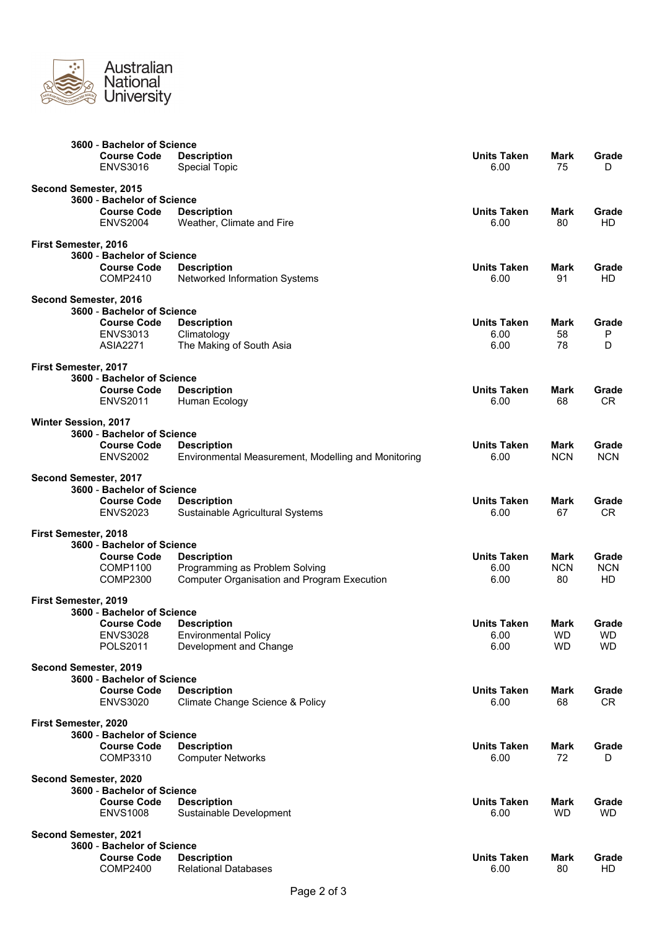

|                             | 3600 - Bachelor of Science                       |                                                     |                            |                        |                        |
|-----------------------------|--------------------------------------------------|-----------------------------------------------------|----------------------------|------------------------|------------------------|
|                             | <b>Course Code</b>                               | <b>Description</b>                                  | <b>Units Taken</b>         | Mark                   | Grade                  |
|                             | <b>ENVS3016</b>                                  | <b>Special Topic</b>                                | 6.00                       | 75                     | D                      |
| Second Semester, 2015       |                                                  |                                                     |                            |                        |                        |
|                             | 3600 - Bachelor of Science                       |                                                     |                            |                        |                        |
|                             | <b>Course Code</b>                               | <b>Description</b>                                  | <b>Units Taken</b>         | Mark                   | Grade                  |
|                             | <b>ENVS2004</b>                                  | Weather, Climate and Fire                           | 6.00                       | 80                     | HD.                    |
| First Semester, 2016        |                                                  |                                                     |                            |                        |                        |
|                             | 3600 - Bachelor of Science                       |                                                     |                            |                        |                        |
|                             | <b>Course Code</b>                               | <b>Description</b>                                  | <b>Units Taken</b>         | Mark                   | Grade                  |
|                             | COMP2410                                         | Networked Information Systems                       | 6.00                       | 91                     | HD.                    |
| Second Semester, 2016       |                                                  |                                                     |                            |                        |                        |
|                             | 3600 - Bachelor of Science                       |                                                     |                            |                        |                        |
|                             | <b>Course Code</b><br><b>ENVS3013</b>            | <b>Description</b><br>Climatology                   | <b>Units Taken</b><br>6.00 | Mark<br>58             | Grade<br>Ρ             |
|                             | <b>ASIA2271</b>                                  | The Making of South Asia                            | 6.00                       | 78                     | D                      |
|                             |                                                  |                                                     |                            |                        |                        |
| First Semester, 2017        | 3600 - Bachelor of Science                       |                                                     |                            |                        |                        |
|                             | <b>Course Code</b>                               | <b>Description</b>                                  | <b>Units Taken</b>         | Mark                   | Grade                  |
|                             | <b>ENVS2011</b>                                  | Human Ecology                                       | 6.00                       | 68                     | CR.                    |
|                             |                                                  |                                                     |                            |                        |                        |
| <b>Winter Session, 2017</b> | 3600 - Bachelor of Science                       |                                                     |                            |                        |                        |
|                             | <b>Course Code</b>                               | <b>Description</b>                                  | <b>Units Taken</b>         | Mark                   | Grade                  |
|                             | <b>ENVS2002</b>                                  | Environmental Measurement, Modelling and Monitoring | 6.00                       | <b>NCN</b>             | <b>NCN</b>             |
|                             |                                                  |                                                     |                            |                        |                        |
| Second Semester, 2017       | 3600 - Bachelor of Science                       |                                                     |                            |                        |                        |
|                             | <b>Course Code</b>                               | <b>Description</b>                                  | <b>Units Taken</b>         | Mark                   | Grade                  |
|                             | <b>ENVS2023</b>                                  | Sustainable Agricultural Systems                    | 6.00                       | 67                     | CR.                    |
| First Semester, 2018        |                                                  |                                                     |                            |                        |                        |
|                             | 3600 - Bachelor of Science                       |                                                     |                            |                        |                        |
|                             | <b>Course Code</b>                               | <b>Description</b>                                  | <b>Units Taken</b>         | Mark                   | Grade                  |
|                             | COMP1100                                         | Programming as Problem Solving                      | 6.00                       | <b>NCN</b>             | <b>NCN</b>             |
|                             | <b>COMP2300</b>                                  | <b>Computer Organisation and Program Execution</b>  | 6.00                       | 80                     | HD.                    |
| First Semester, 2019        |                                                  |                                                     |                            |                        |                        |
|                             | 3600 - Bachelor of Science                       |                                                     |                            |                        |                        |
|                             | <b>Course Code</b>                               | <b>Description</b>                                  | <b>Units Taken</b>         | Mark                   | Grade                  |
|                             | <b>ENVS3028</b>                                  | <b>Environmental Policy</b>                         | 6.00                       | <b>WD</b><br><b>WD</b> | <b>WD</b><br><b>WD</b> |
|                             | <b>POLS2011</b>                                  | Development and Change                              | 6.00                       |                        |                        |
| Second Semester, 2019       |                                                  |                                                     |                            |                        |                        |
|                             | 3600 - Bachelor of Science                       |                                                     |                            |                        |                        |
|                             | <b>Course Code</b>                               | <b>Description</b>                                  | <b>Units Taken</b><br>6.00 | Mark<br>68             | Grade<br>CR.           |
|                             | <b>ENVS3020</b>                                  | Climate Change Science & Policy                     |                            |                        |                        |
| First Semester, 2020        |                                                  |                                                     |                            |                        |                        |
|                             | 3600 - Bachelor of Science                       |                                                     |                            |                        |                        |
|                             | <b>Course Code</b><br>COMP3310                   | <b>Description</b><br><b>Computer Networks</b>      | <b>Units Taken</b><br>6.00 | Mark<br>72             | Grade<br>D             |
|                             |                                                  |                                                     |                            |                        |                        |
| Second Semester, 2020       |                                                  |                                                     |                            |                        |                        |
|                             | 3600 - Bachelor of Science<br><b>Course Code</b> |                                                     | <b>Units Taken</b>         | Mark                   | Grade                  |
|                             | <b>ENVS1008</b>                                  | <b>Description</b><br>Sustainable Development       | 6.00                       | <b>WD</b>              | <b>WD</b>              |
|                             |                                                  |                                                     |                            |                        |                        |
| Second Semester, 2021       |                                                  |                                                     |                            |                        |                        |
|                             | 3600 - Bachelor of Science<br><b>Course Code</b> | <b>Description</b>                                  | <b>Units Taken</b>         | Mark                   | Grade                  |
|                             | <b>COMP2400</b>                                  | <b>Relational Databases</b>                         | 6.00                       | 80                     | HD                     |